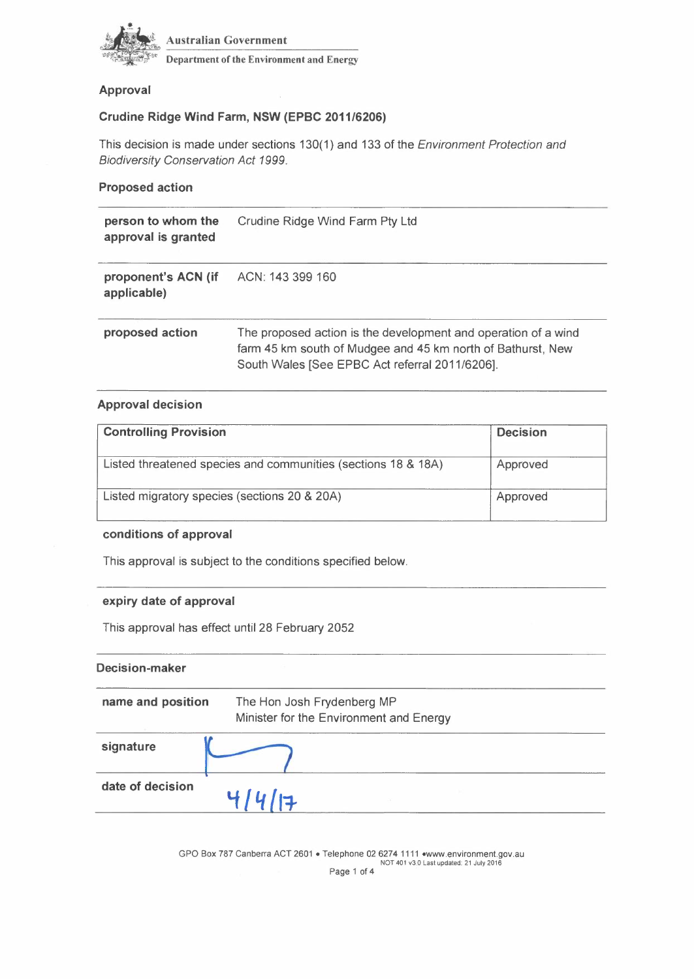

Australian Government

Department of the Environment and Energy

# **Approval**

# **Crudine Ridge Wind Farm, NSW (EPBC** *2011/6206)*

This decision is made under sections 130( 1) and 133 of the *Environment Protection and Biodiversity Conservation Act 1999.* 

### **Proposed action**

| person to whom the<br>approval is granted | Crudine Ridge Wind Farm Pty Ltd                                                                                                                                                 |  |  |
|-------------------------------------------|---------------------------------------------------------------------------------------------------------------------------------------------------------------------------------|--|--|
| proponent's ACN (if<br>applicable)        | ACN: 143 399 160                                                                                                                                                                |  |  |
| proposed action                           | The proposed action is the development and operation of a wind<br>farm 45 km south of Mudgee and 45 km north of Bathurst, New<br>South Wales [See EPBC Act referral 2011/6206]. |  |  |

# **Approval decision**

| <b>Controlling Provision</b>                                  | <b>Decision</b> |
|---------------------------------------------------------------|-----------------|
| Listed threatened species and communities (sections 18 & 18A) | Approved        |
| Listed migratory species (sections 20 & 20A)                  | Approved        |

#### **conditions of approval**

This approval is subject to the conditions specified below.

# **expiry date of approval**

This approval has effect until 28 February 2052

# **Decision-maker**

| name and position | The Hon Josh Frydenberg MP<br>Minister for the Environment and Energy |  |  |
|-------------------|-----------------------------------------------------------------------|--|--|
| signature         |                                                                       |  |  |
| date of decision  |                                                                       |  |  |

GPO Box 787 Canberra ACT 2601 • Telephone 026274 1111 .www.environment.gov.au NOT 401 v3.0 Last updated: 21 July 2016 Page 1 of 4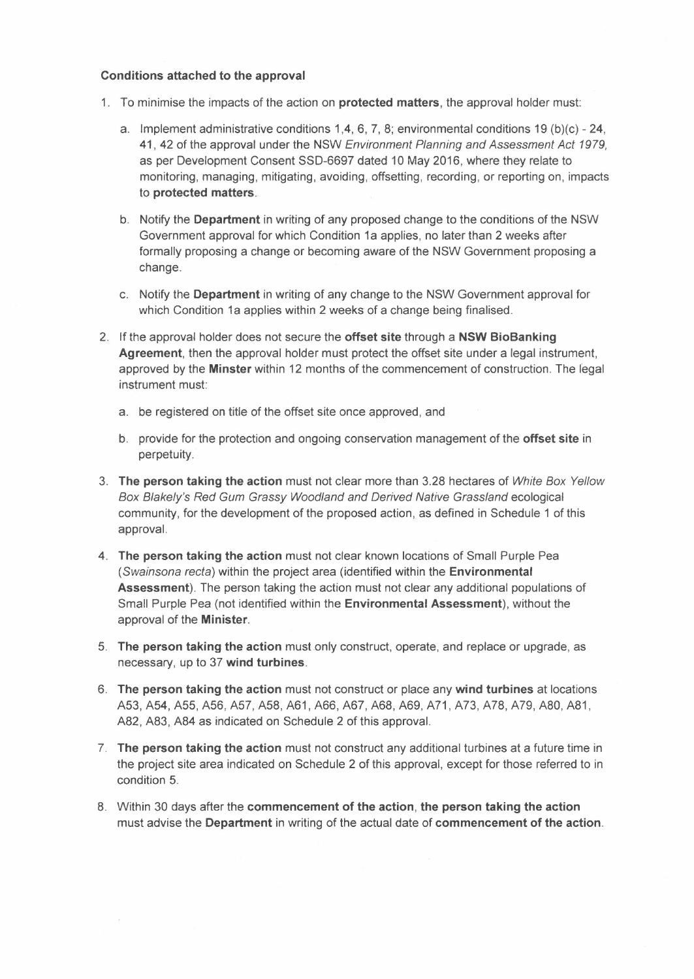#### Conditions attached to the approval

- 1. To minimise the impacts of the action on **protected matters**, the approval holder must:
	- a. Implement administrative conditions 1,4, 6, 7, 8; environmental conditions 19 (b)(c) 24, 41, 42 of the approval under the NSW *Environment Planning and Assessment Act 1979,*  as per Development Consent SSD-6697 dated 10 May 2016, where they relate to monitoring, managing, mitigating, avoiding, offsetting, recording, or reporting on, impacts to protected matters.
	- b. Notify the Department in writing of any proposed change to the conditions of the NSW Government approval for which Condition 1a applies, no later than 2 weeks after formally proposing a change or becoming aware of the NSW Government proposing a change.
	- c. Notify the Department in writing of any change to the NSW Government approval for which Condition 1a applies within 2 weeks of a change being finalised.
- 2. If the approval holder does not secure the offset site through a NSW BioBanking Agreement, then the approval holder must protect the offset site under a legal instrument, approved by the Minster within 12 months of the commencement of construction. The legal instrument must:
	- a. be registered on title of the offset site once approved, and
	- b. provide for the protection and ongoing conservation management of the offset site in perpetuity.
- 3. The person taking the action must not clear more than 3.28 hectares of *White Box Yellow*  Box Blakely's Red Gum Grassy Woodland and Derived Native Grassland ecological community, for the development of the proposed action, as defined in Schedule 1 of this approval.
- 4. The person taking the action must not clear known locations of Small Purple Pea *(Swainsona recta)* within the project area (identified within the Environmental Assessment). The person taking the action must not clear any additional populations of Small Purple Pea (not identified within the Environmental Assessment), without the approval of the Minister.
- 5. The person taking the action must only construct, operate, and replace or upgrade, as necessary, up to 37 wind turbines.
- 6. The person taking the action must not construct or place any wind turbines at locations A53,A54,A55,A56,A57,A58,A61,A66,A67,A68,A69,A71,A73,A78,A79,A80,A81, A82, A83, A84 as indicated on Schedule 2 of this approval.
- 7. The person taking the action must not construct any additional turbines at a future time in the project site area indicated on Schedule 2 of this approval, except for those referred to in condition 5.
- 8. Within 30 days after the commencement of the action, the person taking the action must advise the Department in writing of the actual date of commencement of the action.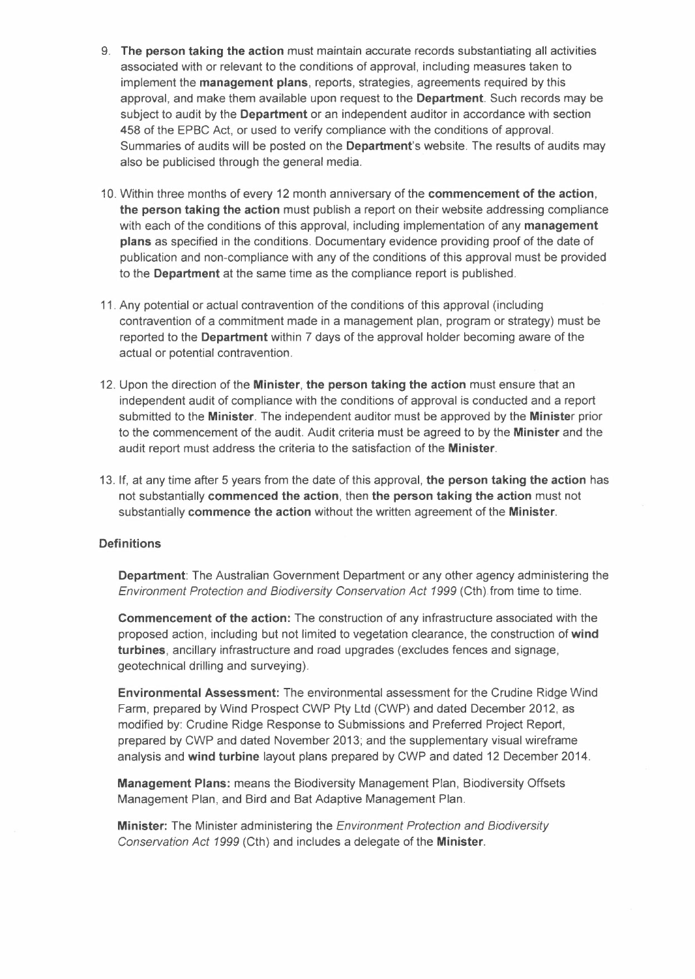- 9. The person taking the action must maintain accurate records substantiating all activities associated with or relevant to the conditions of approval, including measures taken to implement the management plans, reports, strategies, agreements required by this approval, and make them available upon request to the Department. Such records may be subject to audit by the Department or an independent auditor in accordance with section 458 of the EPBC Act, or used to verify compliance with the conditions of approval. Summaries of audits will be posted on the Department's website. The results of audits may also be publicised through the general media.
- 10. Within three months of every 12 month anniversary of the commencement of the action, the person taking the action must publish a report on their website addressing compliance with each of the conditions of this approval, including implementation of any management plans as specified in the conditions. Documentary evidence providing proof of the date of publication and non-compliance with any of the conditions of this approval must be provided to the Department at the same time as the compliance report is published.
- 11. Any potential or actual contravention of the conditions of this approval (including contravention of a commitment made in a management plan, program or strategy) must be reported to the Department within 7 days of the approval holder becoming aware of the actual or potential contravention.
- 12. Upon the direction of the **Minister**, the person taking the action must ensure that an independent audit of compliance with the conditions of approval is conducted and a report submitted to the Minister. The independent auditor must be approved by the Minister prior to the commencement of the audit. Audit criteria must be agreed to by the Minister and the audit report must address the criteria to the satisfaction of the Minister.
- 13. If, at any time after 5 years from the date of this approval, the person taking the action has not substantially commenced the action, then the person taking the action must not substantially commence the action without the written agreement of the Minister.

### Definitions

Department: The Australian Government Department or any other agency administering the *Environment Protection and Biodiversity Conservation Act* 1999 (Cth).from time to time.

Commencement of the action: The construction of any infrastructure associated with the proposed action, including but not limited to vegetation clearance, the construction of wind turbines, ancillary infrastructure and road upgrades (excludes fences and signage, geotechnical drilling and surveying).

Environmental Assessment: The environmental assessment for the Crudine Ridge Wind Farm, prepared by Wind Prospect CWP Pty Ltd (CWP) and dated December 2012, as modified by: Crudine Ridge Response to Submissions and Preferred Project Report, prepared by CWP and dated November 2013; and the supplementary visual wireframe analysis and wind turbine layout plans prepared by CWP and dated 12 December 2014.

Management Plans: means the Biodiversity Management Plan, Biodiversity Offsets Management Plan, and Bird and Bat Adaptive Management Plan.

Minister: The Minister administering the *Environment Protection and Biodiversity Conservation Act* 1999 (Cth) and includes a delegate of the Minister.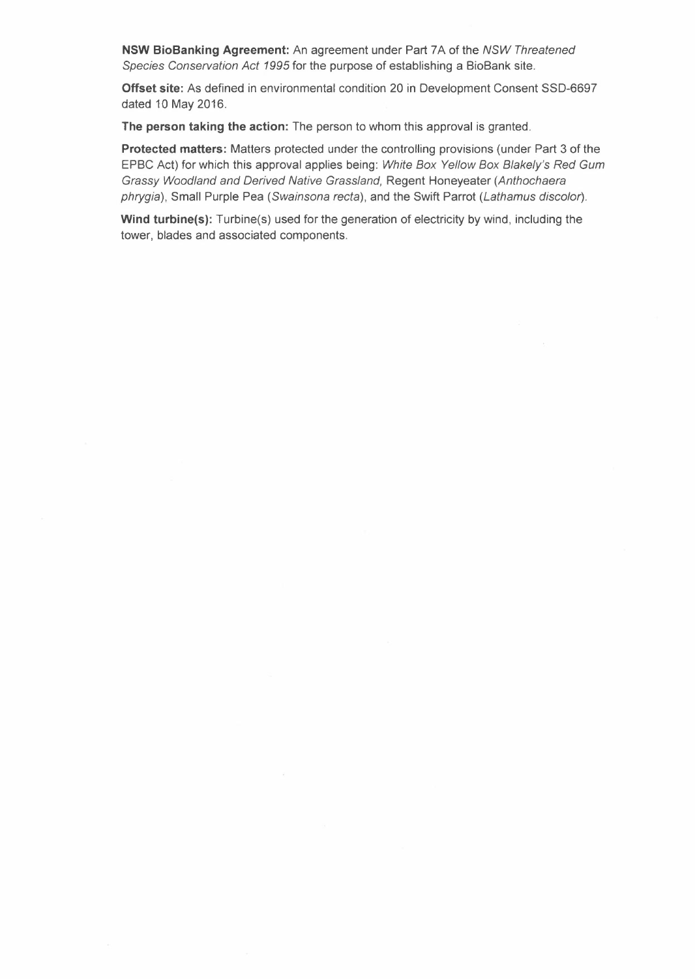**NSW BioBanking Agreement:** An agreement under Part 7 A of the *NSW Threatened Species Conservation Act* 1995 for the purpose of establishing a BioBank site.

**Offset site:** As defined in environmental condition 20 in Development Consent SSD-6697 dated 10 May 2016.

**The person taking the action:** The person to whom this approval is granted.

**Protected matters:** Matters protected under the controlling provisions (under Part 3 of the EPBC Act) for which this approval applies being: *White Box Yellow Box Blakely's Red Gum Grassy Woodland and Derived Native Grassland,* Regent Honeyeater *(Anthochaera phrygia),* Small Purple Pea *(Swainsona recta),* and the Swift Parrot *(Lathamus discolor).* 

**Wind turbine(s):** Turbine(s) used for the generation of electricity by wind, including the tower, blades and associated components.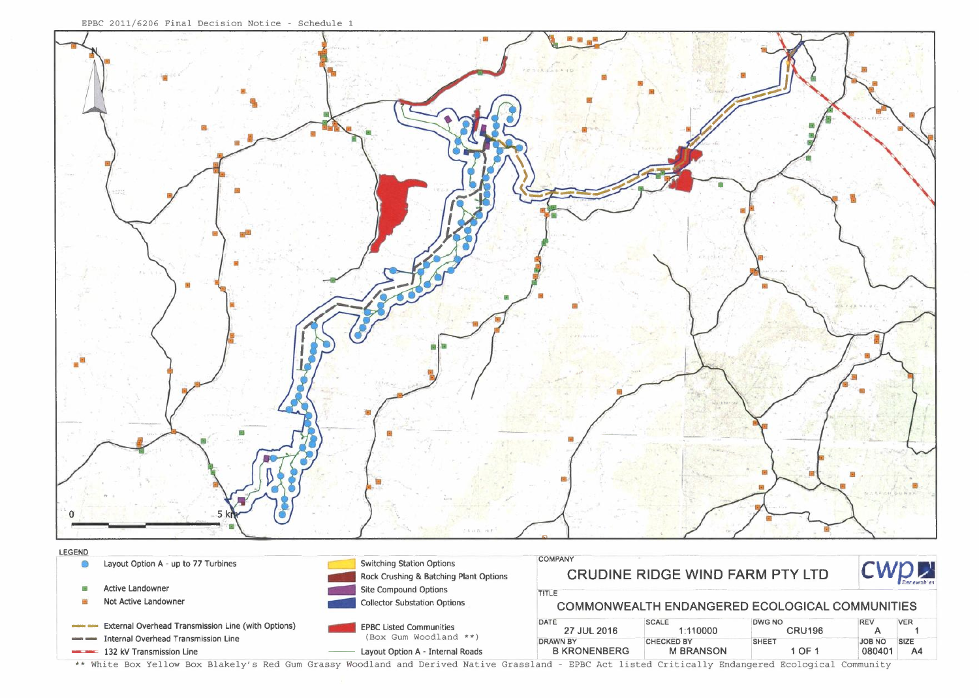

|                                                           | External Overhead Transmission Line (with Options) | <b>EPBC Listed Communities</b><br>(Box Gum Woodland **) | DATE<br>27 JUL 2016 | <b>SCALE</b><br>1:110000 | DWG NO<br><b>CRU196</b> |             | <b>VER</b> |
|-----------------------------------------------------------|----------------------------------------------------|---------------------------------------------------------|---------------------|--------------------------|-------------------------|-------------|------------|
| Internal Overhead Transmission Line<br><b>AND COMPANY</b> |                                                    | DRAWN BY                                                | <b>CHECKED BY</b>   | SHEE <sub>1</sub>        | OA BOL                  | <b>SIZE</b> |            |
|                                                           | <b>EXAMPLE 132 kV Transmission Line</b>            | Layout Option A - Internal Roads                        | <b>B KRONENBERG</b> | <b>M BRANSON</b>         | $\bullet$ OF $\prime$   | 080401      |            |